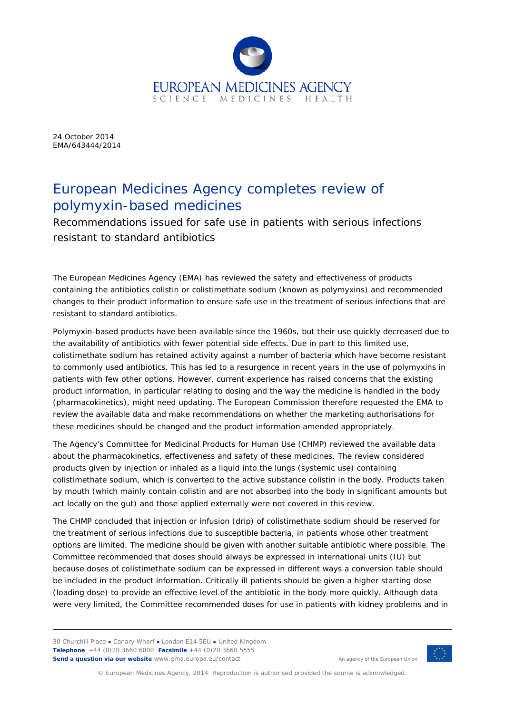

24 October 2014 EMA/643444/2014

## European Medicines Agency completes review of polymyxin-based medicines

Recommendations issued for safe use in patients with serious infections resistant to standard antibiotics

The European Medicines Agency (EMA) has reviewed the safety and effectiveness of products containing the antibiotics colistin or colistimethate sodium (known as polymyxins) and recommended changes to their product information to ensure safe use in the treatment of serious infections that are resistant to standard antibiotics.

Polymyxin-based products have been available since the 1960s, but their use quickly decreased due to the availability of antibiotics with fewer potential side effects. Due in part to this limited use, colistimethate sodium has retained activity against a number of bacteria which have become resistant to commonly used antibiotics. This has led to a resurgence in recent years in the use of polymyxins in patients with few other options. However, current experience has raised concerns that the existing product information, in particular relating to dosing and the way the medicine is handled in the body (pharmacokinetics), might need updating. The European Commission therefore requested the EMA to review the available data and make recommendations on whether the marketing authorisations for these medicines should be changed and the product information amended appropriately.

The Agency's Committee for Medicinal Products for Human Use (CHMP) reviewed the available data about the pharmacokinetics, effectiveness and safety of these medicines. The review considered products given by injection or inhaled as a liquid into the lungs (systemic use) containing colistimethate sodium, which is converted to the active substance colistin in the body. Products taken by mouth (which mainly contain colistin and are not absorbed into the body in significant amounts but act locally on the gut) and those applied externally were not covered in this review.

The CHMP concluded that injection or infusion (drip) of colistimethate sodium should be reserved for the treatment of serious infections due to susceptible bacteria, in patients whose other treatment options are limited. The medicine should be given with another suitable antibiotic where possible. The Committee recommended that doses should always be expressed in international units (IU) but because doses of colistimethate sodium can be expressed in different ways a conversion table should be included in the product information. Critically ill patients should be given a higher starting dose (loading dose) to provide an effective level of the antibiotic in the body more quickly. Although data were very limited, the Committee recommended doses for use in patients with kidney problems and in

30 Churchill Place **●** Canary Wharf **●** London E14 5EU **●** United Kingdom **Telephone** +44 (0)20 3660 6000 **Facsimile** +44 (0)20 3660 5555 **Send a question via our website** www.ema.europa.eu/contact



An agency of the European Union

© European Medicines Agency, 2014. Reproduction is authorised provided the source is acknowledged.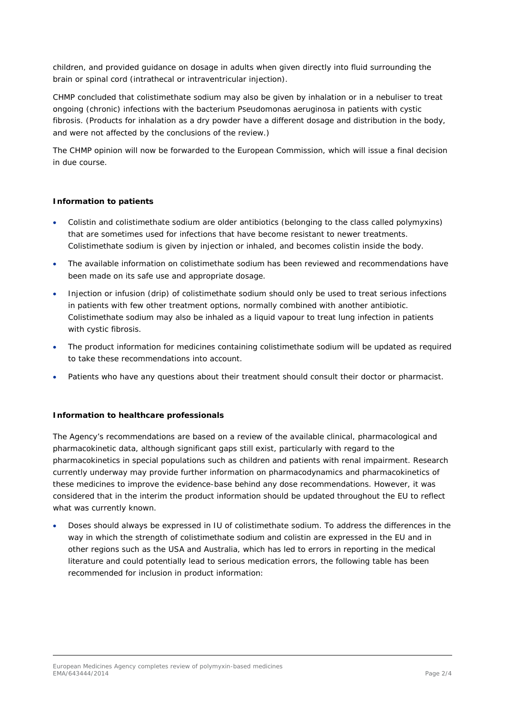children, and provided guidance on dosage in adults when given directly into fluid surrounding the brain or spinal cord (intrathecal or intraventricular injection).

CHMP concluded that colistimethate sodium may also be given by inhalation or in a nebuliser to treat ongoing (chronic) infections with the bacterium *Pseudomonas aeruginosa* in patients with cystic fibrosis. (Products for inhalation as a dry powder have a different dosage and distribution in the body, and were not affected by the conclusions of the review.)

The CHMP opinion will now be forwarded to the European Commission, which will issue a final decision in due course.

### **Information to patients**

- Colistin and colistimethate sodium are older antibiotics (belonging to the class called polymyxins) that are sometimes used for infections that have become resistant to newer treatments. Colistimethate sodium is given by injection or inhaled, and becomes colistin inside the body.
- The available information on colistimethate sodium has been reviewed and recommendations have been made on its safe use and appropriate dosage.
- Injection or infusion (drip) of colistimethate sodium should only be used to treat serious infections in patients with few other treatment options, normally combined with another antibiotic. Colistimethate sodium may also be inhaled as a liquid vapour to treat lung infection in patients with cystic fibrosis.
- The product information for medicines containing colistimethate sodium will be updated as required to take these recommendations into account.
- Patients who have any questions about their treatment should consult their doctor or pharmacist.

#### **Information to healthcare professionals**

The Agency's recommendations are based on a review of the available clinical, pharmacological and pharmacokinetic data, although significant gaps still exist, particularly with regard to the pharmacokinetics in special populations such as children and patients with renal impairment. Research currently underway may provide further information on pharmacodynamics and pharmacokinetics of these medicines to improve the evidence-base behind any dose recommendations. However, it was considered that in the interim the product information should be updated throughout the EU to reflect what was currently known.

• Doses should always be expressed in IU of colistimethate sodium. To address the differences in the way in which the strength of colistimethate sodium and colistin are expressed in the EU and in other regions such as the USA and Australia, which has led to errors in reporting in the medical literature and could potentially lead to serious medication errors, the following table has been recommended for inclusion in product information: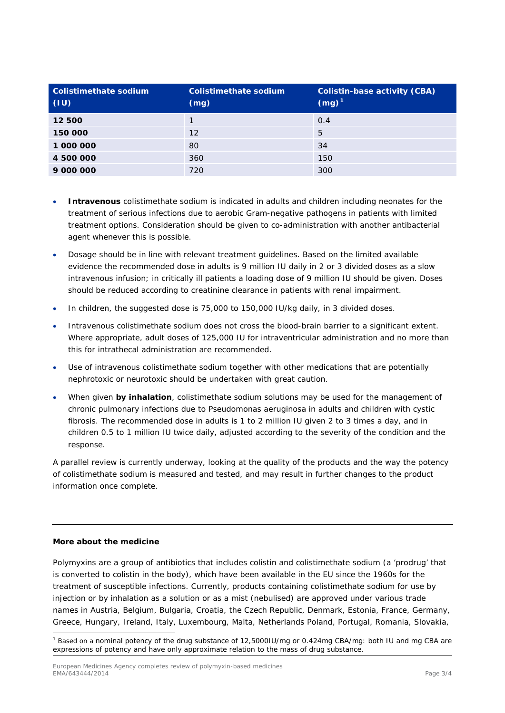| Colistimethate sodium<br>$\mid$ (IU) | Colistimethate sodium<br>(mg) | <b>Colistin-base activity (CBA)</b><br>$(mg)^1$ |
|--------------------------------------|-------------------------------|-------------------------------------------------|
| 12 500                               |                               | 0.4                                             |
| 150 000                              | 12                            | 5                                               |
| 1 000 000                            | 80                            | 34                                              |
| 4 500 000                            | 360                           | 150                                             |
| 9 000 000                            | 720                           | 300                                             |

- **Intravenous** colistimethate sodium is indicated in adults and children including neonates for the treatment of serious infections due to aerobic Gram-negative pathogens in patients with limited treatment options. Consideration should be given to co-administration with another antibacterial agent whenever this is possible.
- Dosage should be in line with relevant treatment guidelines. Based on the limited available evidence the recommended dose in adults is 9 million IU daily in 2 or 3 divided doses as a slow intravenous infusion; in critically ill patients a loading dose of 9 million IU should be given. Doses should be reduced according to creatinine clearance in patients with renal impairment.
- In children, the suggested dose is 75,000 to 150,000 IU/kg daily, in 3 divided doses.
- Intravenous colistimethate sodium does not cross the blood-brain barrier to a significant extent. Where appropriate, adult doses of 125,000 IU for intraventricular administration and no more than this for intrathecal administration are recommended.
- Use of intravenous colistimethate sodium together with other medications that are potentially nephrotoxic or neurotoxic should be undertaken with great caution.
- When given *by inhalation*, colistimethate sodium solutions may be used for the management of chronic pulmonary infections due to *Pseudomonas aeruginosa* in adults and children with cystic fibrosis. The recommended dose in adults is 1 to 2 million IU given 2 to 3 times a day, and in children 0.5 to 1 million IU twice daily, adjusted according to the severity of the condition and the response.

A parallel review is currently underway, looking at the quality of the products and the way the potency of colistimethate sodium is measured and tested, and may result in further changes to the product information once complete.

#### **More about the medicine**

Polymyxins are a group of antibiotics that includes colistin and colistimethate sodium (a 'prodrug' that is converted to colistin in the body), which have been available in the EU since the 1960s for the treatment of susceptible infections. Currently, products containing colistimethate sodium for use by injection or by inhalation as a solution or as a mist (nebulised) are approved under various trade names in Austria, Belgium, Bulgaria, Croatia, the Czech Republic, Denmark, Estonia, France, Germany, Greece, Hungary, Ireland, Italy, Luxembourg, Malta, Netherlands Poland, Portugal, Romania, Slovakia,

<span id="page-2-0"></span> <sup>1</sup> Based on a nominal potency of the drug substance of 12,5000IU/mg or 0.424mg CBA/mg: both IU and mg CBA are expressions of potency and have only approximate relation to the mass of drug substance.